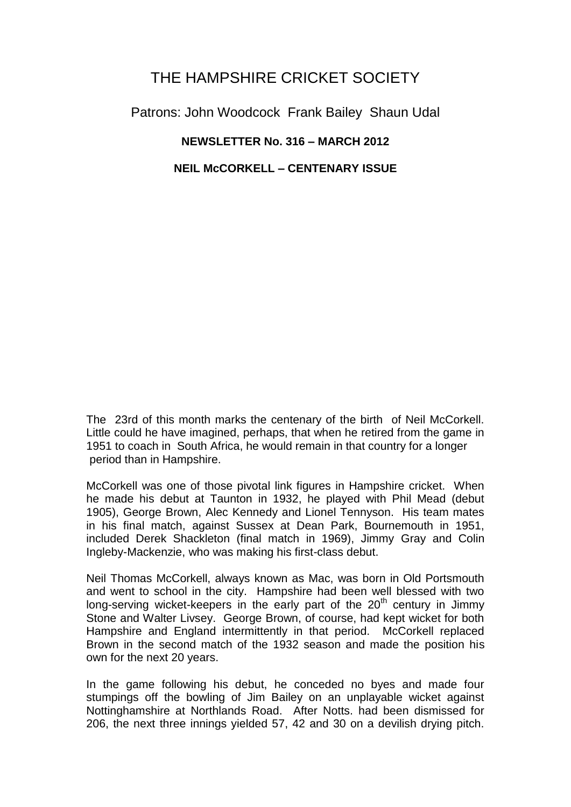# THE HAMPSHIRE CRICKET SOCIETY

Patrons: John Woodcock Frank Bailey Shaun Udal

## **NEWSLETTER No. 316 – MARCH 2012**

## **NEIL McCORKELL – CENTENARY ISSUE**

The 23rd of this month marks the centenary of the birth of Neil McCorkell. Little could he have imagined, perhaps, that when he retired from the game in 1951 to coach in South Africa, he would remain in that country for a longer period than in Hampshire.

McCorkell was one of those pivotal link figures in Hampshire cricket. When he made his debut at Taunton in 1932, he played with Phil Mead (debut 1905), George Brown, Alec Kennedy and Lionel Tennyson. His team mates in his final match, against Sussex at Dean Park, Bournemouth in 1951, included Derek Shackleton (final match in 1969), Jimmy Gray and Colin Ingleby-Mackenzie, who was making his first-class debut.

Neil Thomas McCorkell, always known as Mac, was born in Old Portsmouth and went to school in the city. Hampshire had been well blessed with two long-serving wicket-keepers in the early part of the  $20<sup>th</sup>$  century in Jimmy Stone and Walter Livsey. George Brown, of course, had kept wicket for both Hampshire and England intermittently in that period. McCorkell replaced Brown in the second match of the 1932 season and made the position his own for the next 20 years.

In the game following his debut, he conceded no byes and made four stumpings off the bowling of Jim Bailey on an unplayable wicket against Nottinghamshire at Northlands Road. After Notts. had been dismissed for 206, the next three innings yielded 57, 42 and 30 on a devilish drying pitch.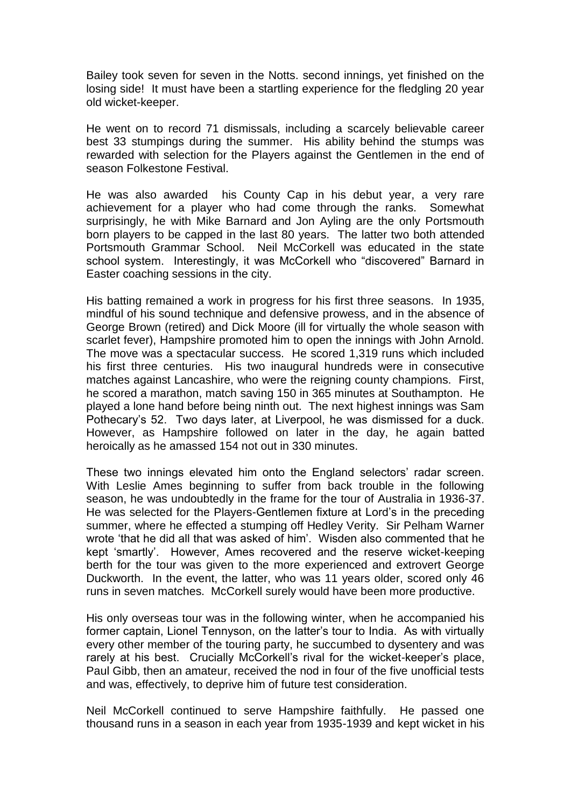Bailey took seven for seven in the Notts. second innings, yet finished on the losing side! It must have been a startling experience for the fledgling 20 year old wicket-keeper.

He went on to record 71 dismissals, including a scarcely believable career best 33 stumpings during the summer. His ability behind the stumps was rewarded with selection for the Players against the Gentlemen in the end of season Folkestone Festival.

He was also awarded his County Cap in his debut year, a very rare achievement for a player who had come through the ranks. Somewhat surprisingly, he with Mike Barnard and Jon Ayling are the only Portsmouth born players to be capped in the last 80 years. The latter two both attended Portsmouth Grammar School. Neil McCorkell was educated in the state school system. Interestingly, it was McCorkell who "discovered" Barnard in Easter coaching sessions in the city.

His batting remained a work in progress for his first three seasons. In 1935, mindful of his sound technique and defensive prowess, and in the absence of George Brown (retired) and Dick Moore (ill for virtually the whole season with scarlet fever), Hampshire promoted him to open the innings with John Arnold. The move was a spectacular success. He scored 1,319 runs which included his first three centuries. His two inaugural hundreds were in consecutive matches against Lancashire, who were the reigning county champions. First, he scored a marathon, match saving 150 in 365 minutes at Southampton. He played a lone hand before being ninth out. The next highest innings was Sam Pothecary's 52. Two days later, at Liverpool, he was dismissed for a duck. However, as Hampshire followed on later in the day, he again batted heroically as he amassed 154 not out in 330 minutes.

These two innings elevated him onto the England selectors' radar screen. With Leslie Ames beginning to suffer from back trouble in the following season, he was undoubtedly in the frame for the tour of Australia in 1936-37. He was selected for the Players-Gentlemen fixture at Lord's in the preceding summer, where he effected a stumping off Hedley Verity. Sir Pelham Warner wrote 'that he did all that was asked of him'. Wisden also commented that he kept 'smartly'. However, Ames recovered and the reserve wicket-keeping berth for the tour was given to the more experienced and extrovert George Duckworth. In the event, the latter, who was 11 years older, scored only 46 runs in seven matches. McCorkell surely would have been more productive.

His only overseas tour was in the following winter, when he accompanied his former captain, Lionel Tennyson, on the latter's tour to India. As with virtually every other member of the touring party, he succumbed to dysentery and was rarely at his best. Crucially McCorkell's rival for the wicket-keeper's place, Paul Gibb, then an amateur, received the nod in four of the five unofficial tests and was, effectively, to deprive him of future test consideration.

Neil McCorkell continued to serve Hampshire faithfully. He passed one thousand runs in a season in each year from 1935-1939 and kept wicket in his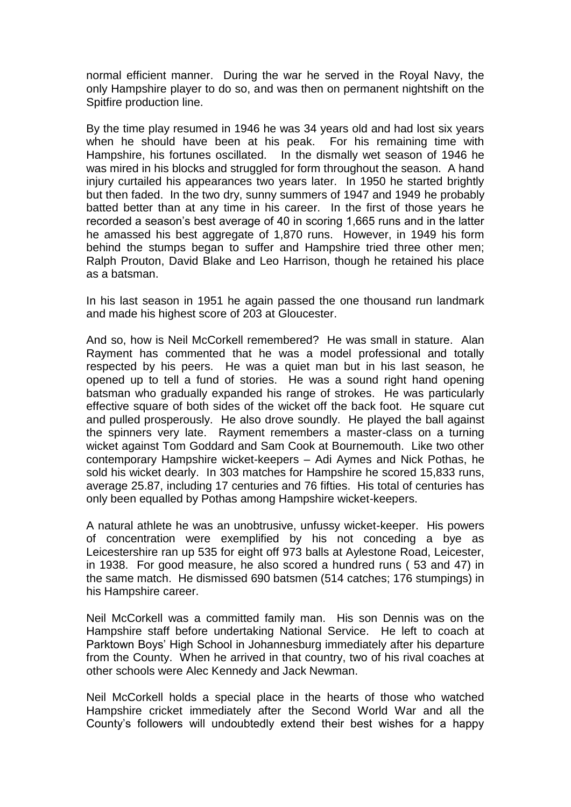normal efficient manner. During the war he served in the Royal Navy, the only Hampshire player to do so, and was then on permanent nightshift on the Spitfire production line.

By the time play resumed in 1946 he was 34 years old and had lost six years when he should have been at his peak. For his remaining time with Hampshire, his fortunes oscillated. In the dismally wet season of 1946 he was mired in his blocks and struggled for form throughout the season. A hand injury curtailed his appearances two years later. In 1950 he started brightly but then faded. In the two dry, sunny summers of 1947 and 1949 he probably batted better than at any time in his career. In the first of those years he recorded a season's best average of 40 in scoring 1,665 runs and in the latter he amassed his best aggregate of 1,870 runs. However, in 1949 his form behind the stumps began to suffer and Hampshire tried three other men; Ralph Prouton, David Blake and Leo Harrison, though he retained his place as a batsman.

In his last season in 1951 he again passed the one thousand run landmark and made his highest score of 203 at Gloucester.

And so, how is Neil McCorkell remembered? He was small in stature. Alan Rayment has commented that he was a model professional and totally respected by his peers. He was a quiet man but in his last season, he opened up to tell a fund of stories. He was a sound right hand opening batsman who gradually expanded his range of strokes. He was particularly effective square of both sides of the wicket off the back foot. He square cut and pulled prosperously. He also drove soundly. He played the ball against the spinners very late. Rayment remembers a master-class on a turning wicket against Tom Goddard and Sam Cook at Bournemouth. Like two other contemporary Hampshire wicket-keepers – Adi Aymes and Nick Pothas, he sold his wicket dearly. In 303 matches for Hampshire he scored 15,833 runs, average 25.87, including 17 centuries and 76 fifties. His total of centuries has only been equalled by Pothas among Hampshire wicket-keepers.

A natural athlete he was an unobtrusive, unfussy wicket-keeper. His powers of concentration were exemplified by his not conceding a bye as Leicestershire ran up 535 for eight off 973 balls at Aylestone Road, Leicester, in 1938. For good measure, he also scored a hundred runs ( 53 and 47) in the same match. He dismissed 690 batsmen (514 catches; 176 stumpings) in his Hampshire career.

Neil McCorkell was a committed family man. His son Dennis was on the Hampshire staff before undertaking National Service. He left to coach at Parktown Boys' High School in Johannesburg immediately after his departure from the County. When he arrived in that country, two of his rival coaches at other schools were Alec Kennedy and Jack Newman.

Neil McCorkell holds a special place in the hearts of those who watched Hampshire cricket immediately after the Second World War and all the County's followers will undoubtedly extend their best wishes for a happy